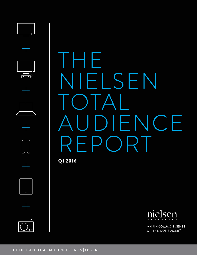

Q1 2016

 $\overline{...}$ 



AN UNCOMMON SENSE OF THE CONSUMER<sup>™</sup>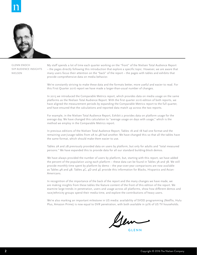

GLENN ENOCH SVP AUDIENCE INSIGHTS NIELSEN

My staff spends a lot of time each quarter working on the "front" of the Nielsen Total Audience Report – the pages directly following this introduction that explore a specific topic. However, we are aware that many users focus their attention on the "back" of the report – the pages with tables and exhibits that provide comprehensive data on media behavior.

We're constantly striving to make these data and the formats better, more useful and easier to read. For this First Quarter 2016 report we have made a larger-than-usual number of changes.

In 2015 we introduced the Comparable Metrics report, which provides data on media usage on the same platforms as the Nielsen Total Audience Report. With the first quarter 2016 edition of both reports, we have aligned the measurement periods by expanding the Comparable Metrics report to the full quarter, and have ensured that the calculations and reported data match up across the two reports.

For example, in the Nielsen Total Audience Report, Exhibit 2 provides data on platform usage for the average day. We have changed this calculation to "average usage on days with usage," which is the method we employ in the Comparable Metrics report.

In previous editions of the Nielsen Total Audience Report, Tables 1A and 1B had one format and the remaining user/usage tables from 2A to 4B had another. We have changed this so that all the tables have the same format, which should make them easier to use.

Tables 2A and 2B previously provided data on users by platform, but only for adults and "total measured persons." We have expanded this to provide data for all our standard building-block demos.

We have always provided the number of users by platform, but, starting with this report, we have added the percent of the population using each platform – these data can be found in Tables 3A and 3B. We still provide monthly time spent by platform by demo – the year-over-year comparisons are now available as Tables 4A and 4B. Tables 4C, 4D and 4E provide this information for Blacks, Hispanics and Asian-Americans.

In recognition of the importance of the back of the report and the many changes we have made, we are making insights from these tables the feature content of the front of this edition of the report. We examine large trends in penetration, users and usage across all platforms, show how different demos and race/ethnicity groups spend their media time, and explore the contributions of heavy users.

We're also marking an important milestone in US media: availability of SVOD programming (Netflix, Hulu Plus, Amazon Prime) is now equal to DVR penetration, with both available in 50% of US TV households.

Ger

GLENN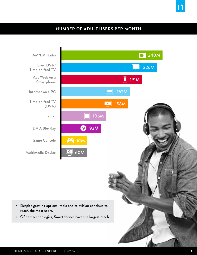# **NUMBER OF ADULT USERS PER MONTH**

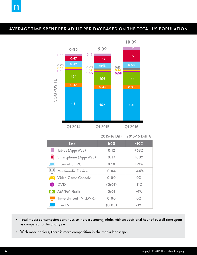# **AVERAGE TIME SPENT PER ADULT PER DAY BASED ON THE TOTAL US POPULATION**



**2015-16 Diff 2015-16 Diff %**

| Total                                        | 1:00   | $+10%$ |
|----------------------------------------------|--------|--------|
| Tablet (App/Web)                             | 0:12   | $+63%$ |
| Smartphone (App/Web)                         | 0:37   | $+60%$ |
| Internet on PC                               | 0:10   | $+21%$ |
| $\overline{\mathbf{e}}$<br>Multimedia Device | 0:04   | $+44%$ |
| <b>SAN</b> Video Game Console                | 0:00   | $0\%$  |
| <b>DVD</b><br>$\odot$                        | (0:01) | $-11%$ |
| <b>AM/FM Radio</b>                           | 0:01   | $+1%$  |
| Time-shifted TV (DVR)                        | 0:00   | $0\%$  |
| Live TV                                      | (0:03) | $-1%$  |

- Total media consumption continues to increase among adults with an additional hour of overall time spent as compared to the prior year.
- With more choices, there is more competition in the media landscape.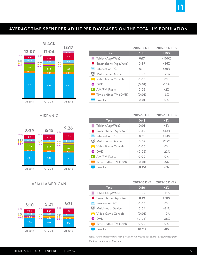# **AVERAGE TIME SPENT PER ADULT PER DAY BASED ON THE TOTAL US POPULATION AVERAGE TIME SPENT PER ADULT PER DAY BASED ON THE TOTAL US POPULATION**



#### HISPANIC



## ASIAN AMERICAN



| $+10%$<br>Total<br>1:13<br>$+100%$<br>Tablet (App/Web)<br>0:17<br>Smartphone (App/Web)<br>0:39<br>$+56%$<br>Internet on PC<br>$+20%$<br>0:11<br>Multimedia Device<br>0:05<br>$+71%$<br>$0\%$<br><b>A Video Game Console</b><br>0:00<br>O DVD<br>(0:01)<br>$-10%$<br><b>D.</b> AM/FM Radio<br>0:02<br>$+2%$<br>Time-shifted TV (DVR)<br>(0:01)<br>$-3%$ |                        |      | 2015-16 Diff 2015-16 Diff % |
|--------------------------------------------------------------------------------------------------------------------------------------------------------------------------------------------------------------------------------------------------------------------------------------------------------------------------------------------------------|------------------------|------|-----------------------------|
|                                                                                                                                                                                                                                                                                                                                                        |                        |      |                             |
|                                                                                                                                                                                                                                                                                                                                                        |                        |      |                             |
|                                                                                                                                                                                                                                                                                                                                                        |                        |      |                             |
|                                                                                                                                                                                                                                                                                                                                                        |                        |      |                             |
|                                                                                                                                                                                                                                                                                                                                                        |                        |      |                             |
|                                                                                                                                                                                                                                                                                                                                                        |                        |      |                             |
|                                                                                                                                                                                                                                                                                                                                                        |                        |      |                             |
|                                                                                                                                                                                                                                                                                                                                                        |                        |      |                             |
|                                                                                                                                                                                                                                                                                                                                                        |                        |      |                             |
|                                                                                                                                                                                                                                                                                                                                                        | $\blacksquare$ Live TV | 0:01 | $0\%$                       |

|                        |        | 2015-16 Diff 2015-16 Diff % |
|------------------------|--------|-----------------------------|
| Total                  | 0:41   | $+8%$                       |
| Tablet (App/Web)       | 0:01   | $+8%$                       |
| Smartphone (App/Web)   | 0:40   | $+48%$                      |
| Internet on PC         | 0:11   | $+33%$                      |
| Multimedia Device      | 0:07   | $+117%$                     |
| M Video Game Console   | 0:00   | $0\%$                       |
| O DVD                  | (0:02) | $-22%$                      |
| <b>D.</b> AM/FM Radio  | 0:00   | 0%                          |
| Time-shifted TV (DVR)  | (0:01) | $-5%$                       |
| $\blacksquare$ Live TV | (0:15) | $-7%$                       |

|                                              | 2015-16 Diff | 2015-16 Diff % |
|----------------------------------------------|--------------|----------------|
| Total                                        | 0:10         | $+3%$          |
| Tablet (App/Web)                             | 0:02         | $+11%$         |
| Smartphone (App/Web)                         | 0:19         | $+28%$         |
| Internet on PC                               | 0:00         | $0\%$          |
| $\overline{\mathsf{P}}$<br>Multimedia Device | 0:04         | $+21%$         |
| <b>M</b> Video Game Console                  | (0:01)       | $-10%$         |
| <b>DVD</b><br>$\odot$                        | (0:03)       | $-38%$         |
| Time-shifted TV (DVR)                        | 0:00         | $0\%$          |
| Live TV                                      | (0:11)       | $-8%$          |

*Note: Radio measurement includes Asian Americans but cannot be separated from the total audience at this time.*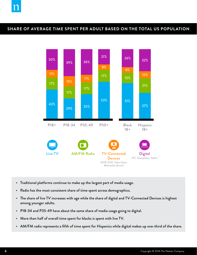# **SHARE OF AVERAGE TIME SPENT PER ADULT BASED ON THE TOTAL US POPULATION**



- Traditional platforms continue to make up the largest part of media usage.
- Radio has the most consistent share of time spent across demographics.
- The share of live TV increases with age while the share of digital and TV-Connected Devices is highest among younger adults.
- P18-34 and P35-49 have about the same share of media usage going to digital.
- More than half of overall time spent for blacks is spent with live TV.
- AM/FM radio represents a fifth of time spent for Hispanics while digital makes up one-third of the share.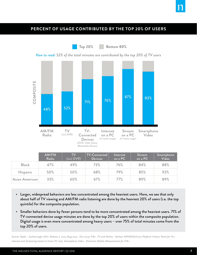

# **PERCENT OF USAGE CONTRIBUTED BY THE TOP 20% OF USERS**

**Top 20% Bottom 80%**





|                 | AM/FM<br>Radio | <b>TV</b><br>(incl DVR) | TV-Connected<br><b>Devices</b> | Internet<br>on a PC | Stream<br>on a PC | Smartphone<br>Video |
|-----------------|----------------|-------------------------|--------------------------------|---------------------|-------------------|---------------------|
| <b>Black</b>    | 47%            | 49%                     | 73%                            | 76%                 | 84%               | 88%                 |
| <b>Hispanic</b> | 50%            | 50%                     | 68%                            | 79%                 | 85%               | 92%                 |
| Asian American  | 33%            | 60%                     | 67%                            | 77%                 | 89%               | 89%                 |

- Larger, widespread behaviors are less concentrated among the heaviest users. Here, we see that only about half of TV viewing and AM/FM radio listening are done by the heaviest 20% of users (i.e. the top quintile) for the composite population.
- Smaller behaviors done by fewer persons tend to be more concentrated among the heaviest users. 71% of TV-connected device usage minutes are done by the top 20% of users within the composite population. Digital usage is even more concentrated among heavy users – over 75% of total minutes come from the top 20% of users.

*Source: Radio - Scarborough USA+ Release 2, 2015 (Aug 2014 - Oct 2015) P18+, TV and Online - Nielsen NPOWER/Cross Platform Homes Panel for P2+ - Internet and Streaming based on home PC only, Smartphone Video - Electronic Mobile Measurement for P18+*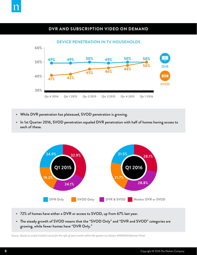

# **DVR AND SUBSCRIPTION VIDEO ON DEMAND**



- While DVR penetration has plateaued, SVOD penetration is growing.
- In 1st Quarter 2016, SVOD penetration equaled DVR penetration with half of homes having access to each of these.



- 72% of homes have either a DVR or access to SVOD, up from 67% last year.
- The steady growth of SVOD means that the "SVOD Only" and "DVR and SVOD" categories are growing, while fewer homes have "DVR Only."

*Source: Based on scaled installed counts for the 15th of each month within the quarter via Nielsen NPOWER/National Panel*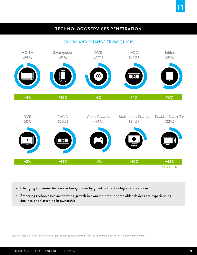# **TECHNOLOGY/SERVICES PENETRATION**

Q1 2016 AND CHANGE FROM Q1 2015



- Changing consumer behavior is being driven by growth of technologies and services.
- Emerging technologies are showing growth in ownership while some older devices are experiencing declines or a flattening in ownership.

*Source: Based on scaled installed counts for the 15th of each month within the quarter via Nielsen NPOWER/National Panel*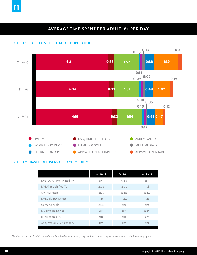

# **AVERAGE TIME SPENT PER ADULT 18+ PER DAY**

#### EXHIBIT 1 - BASED ON THE TOTAL US POPULATION



#### EXHIBIT 2 - BASED ON USERS OF EACH MEDIUM

|                          | Q1 2014 | Q1 2015 | Q1 2016 |
|--------------------------|---------|---------|---------|
| Live+DVR/Time-shifted TV | 6:51    | 6:46    | 6:37    |
| DVR/Time-shifted TV      | 2:03    | 2:05    | 1:58    |
| AM/FM Radio              | 2:45    | 2:42    | 2:44    |
| DVD/Blu-Ray Device       | 1:46    | 1:44    | 1:48    |
| Game Console             | 2:42    | 2:52    | 2:58    |
| Multimedia Device        | 2:17    | 2:33    | 2:29    |
| Internet on a PC         | 2:16    | 2:18    | 3:01    |
| App/Web on a Smartphone  | 1:35    | 1:51    | 2:32    |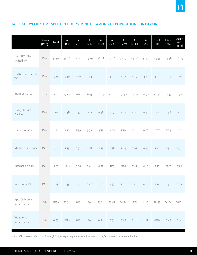## TABLE 1A – WEEKLY TIME SPENT IN HOURS: MINUTES AMONG US POPULATION FOR Q1 2016

|                              | Demo<br>(Pop) | Total | A<br>$18 +$ | $\sf K$<br>$2 - 11$ | T<br>$12 - 17$ | ${\sf A}$<br>$18 - 24$ | $\mathsf A$<br>$25 - 34$ | $\mathsf A$<br>$35 - 49$ | A<br>$50 - 64$ | $\mathsf A$<br>$65+$ | Black<br>Total | Hisp.<br>Total | Asian<br>Am.<br>Total |
|------------------------------|---------------|-------|-------------|---------------------|----------------|------------------------|--------------------------|--------------------------|----------------|----------------------|----------------|----------------|-----------------------|
| Live+DVR/Time-<br>shifted TV | $P2+$         | 31:50 | 35:26       | 20:22               | 15:29          | 16:18                  | 23:26                    | 32:07                    | 44:06          | 51:32                | 45:33          | 24:38          | 16:05                 |
| DVR/Time-shifted<br>TV       | $P2+$         | 3:25  | 3:49        | 2:10                | 1:34           | 1:30                   | 3:01                     | 4:22                     | 4:39           | 4:12                 | 3:01           | 2:14           | 2:02                  |
| AM/FM Radio                  | $P12+$        | 12:26 | 13:01       | n/a                 | 6:55           | 10:19                  | 11:20                    | 13:40                    | 15:09          | 12:32                | 12:48          | 12:57          | n/a                   |
| DVD/Blu-Ray<br>Device        | $P2+$         | 1:02  | 0:58        | 1:33                | O:52           | 0:48                   | 1:07                     | 1:05                     | 1:00           | O:42                 | 1:04           | 0:58           | 0:38                  |
| Game Console                 | $P2+$         | 1:58  | 1:38        | 2:39                | 3:59           | 4:17                   | 3:20                     | 1:30                     | 0:28           | O:O7                 | 2:07           | 2:04           | 1:12                  |
| Multimedia Device            | $P_{2+}$      | 1:34  | 1:33        | 1:51                | 1:18           | 1:55                   | 2:36                     | 1:44                     | 1:07           | O:42                 | 1:18           | 1:32           | 2:36                  |
| Internet on a PC             | $P_{2+}$      | 5:23  | 6:43        | 0:18                | 0:44           | 4:32                   | 7:53                     | 8:20                     | 7:21           | 4:10                 | 5:50           | 3:47           | 3:24                  |
| Video on a PC                | $P2+$         | 1:33  | 1:49        | O:31                | O:4O           | 2:01                   | 2:57                     | 2:12                     | 1:26           | O:41                 | 2:14           | 1:31           | 1:19                  |
| App/Web on a<br>Smartphone   | $P18 +$       | 11:36 | 11:36       | n/a                 | n/a            | 15:11                  | 13:47                    | 14:34                    | 12:13          | 2:41                 | 12:43          | 14:24          | 10:06                 |
| Video on a<br>Smartphone     | $P18 +$       | 0:23  | 0:23        | n/a                 | n/a            | 0:54                   | O:31                     | 0:25                     | 0:16           | <b>IFR</b>           | 0:36           | 0:43           | 0:34                  |

*Note: IFR represents data that is insufficient for reporting due to small sample sizes. n/a represents data unavailability*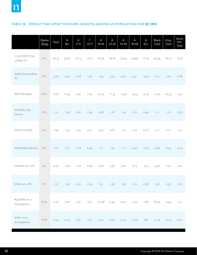## TABLE 1B – WEEKLY TIME SPENT IN HOURS: MINUTES AMONG US POPULATION FOR Q1 2015

|                              | Demo<br>(Pop) | Total | $\mathsf{A}$<br>$18 +$ | $\sf K$<br>$2 - 11$ | T<br>$12 - 17$ | $\boldsymbol{\mathsf{A}}$<br>$18 - 24$ | A<br>$25 - 34$ | A<br>$35 - 49$ | A<br>$50 - 64$ | $\sf A$<br>$65+$ | Black<br>Total | Hisp.<br>Total | Asian<br>Am.<br>Total |
|------------------------------|---------------|-------|------------------------|---------------------|----------------|----------------------------------------|----------------|----------------|----------------|------------------|----------------|----------------|-----------------------|
| Live+DVR/Time-<br>shifted TV | $P2+$         | 32:33 | 35:50                  | 22:13               | 17:52          | 18:04                                  | 24:36          | 32:54          | 43:49          | 51:14            | 45:44          | 26:41          | 17:39                 |
| DVR/Time-shifted<br>TV       | $P2+$         | 3:29  | 3:50                   | 2:28                | 1:50           | 1:43                                   | 3:24           | 4:26           | 4:31           | 3:54             | 3:12           | 2:20           | 2:08                  |
| AM/FM Radio                  | $P12+$        | 12:21 | 12:55                  | n/a                 | 7:02           | 10:13                                  | 11:33          | 13:36          | 14:55          | 12:16            | 12:42          | 12:53          | n/a                   |
| DVD/Blu-Ray<br>Device        | $P2+$         | 1:12  | 1:05                   | 2:00                | 1:04           | 0:58                                   | 1:18           | 1:14           | 1:07           | O:42             | 1011           | 1:10           | 0:57                  |
| Game Console                 | $P2+$         | 1:59  | 1:35                   | 2:55                | 4:22           | 4:34                                   | 3:07           | 1:16           | O:27           | O:O7             | 2:11           | 2:12           | 1:23                  |
| Multimedia Device            | $P2+$         | 1:01  | 1:01                   | 1:08                | 0:43           | 1:21                                   | 1:41           | 1:11           | O:4O           | O:27             | 0:46           | 0:45           | 2:04                  |
| Internet on a PC             | $P_{2+}$      | 4:30  | 5:36                   | 0:17                | 0:46           | 4:26                                   | 5:36           | 7:06           | 6:19           | 3:23             | 4:56           | 2:52           | 3:27                  |
| Video on a PC                | $P2+$         | 1:17  | 1:32                   | O:21                | O:24           | 1:51                                   | 1:58           | 1:56           | 1:22           | 0:38             | 1:50           | 0:57           | 1:02                  |
| App/Web on a<br>Smartphone   | $P18 +$       | 7:20  | 7:20                   | n/a                 | n/a            | 10:08                                  | 9:40           | 9:00           | 7:02           | 1:28             | 8:09           | 9:43           | 7:51                  |
| Video on a<br>Smartphone     | $P18+$        | 0:14  | 0:14                   | n/a                 | n/a            | 0:32                                   | O:22           | O:14           | 0:09           | <b>IFR</b>       | 0:19           | 0:25           | O:21                  |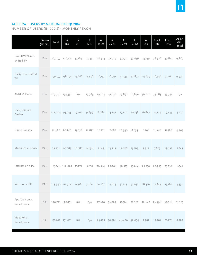## TABLE 2A – USERS BY MEDIUM FOR Q1 2016

NUMBER OF USERS (IN 000'S) - MONTHLY REACH

|                              | Demo<br>(Users) | Total                                                                            | A<br>$18+$                           | К<br>$2 - 11$ | T<br>$12 - 17$ | $\sf A$<br>$18 - 24$ | A<br>$25 - 34$                           | Α<br>$35 - 49$       | A<br>$50 - 64$                     | A<br>$65+$           | Black<br>Total                                          | Hisp.<br>Total | Asian<br>Am.<br>Total |
|------------------------------|-----------------|----------------------------------------------------------------------------------|--------------------------------------|---------------|----------------|----------------------|------------------------------------------|----------------------|------------------------------------|----------------------|---------------------------------------------------------|----------------|-----------------------|
| Live+DVR/Time-<br>shifted TV | $P2+$           |                                                                                  | 287,297 226,101 37,764               |               | 23,431         | 26,524               | 37,509                                   | 57,270               | 59,659                             | 45,139               | 38,506                                                  | 49,872         | 15,863                |
| DVR/Time-shifted<br>TV       | $P2+$           |                                                                                  | 199,597 158,194 25,866 15,536 16,133 |               |                |                      |                                          |                      | 26,791 42,533 42,897 29,839 26,348 |                      |                                                         | 30,160         | 9,590                 |
| AM/FM Radio                  | $P12+$          |                                                                                  | 263,342 239,551                      | n/a           |                |                      |                                          |                      |                                    |                      | 23,789 29,819 41,858 59,891 61,840 46,820 33,883        | 43,354         | n/a                   |
| DVD/Blu-Ray<br>Device        | $P_{2+}$        |                                                                                  | 122,004 93,035 19,071                |               | 9,899          | 8,082                | 14,247                                   | 27,126               |                                    | 26,738 16,842 14,125 |                                                         | 19,445         | 5,707                 |
| Game Console                 | $P2+$           |                                                                                  | 92,660 60,681 19,158 12,821 12,211   |               |                |                      |                                          | 17,087 20,340        | 8,834                              | 2,208                | 11,940                                                  | 17,568         | 4,905                 |
| Multimedia Device            | $P_{2+}$        |                                                                                  | 79,701 60,185 12,680                 |               | 6,836          | 7,843                |                                          | 14,223 19,028 13,169 |                                    | 5,922                | 7,825                                                   | 13,897         | 7,845                 |
| Internet on a PC             | $P_{2+}$        |                                                                                  | 183,144 162,063 11,271               |               |                |                      | 9,810 16,544 29,284 46,533 43,864 25,838 |                      |                                    |                      | 22,995                                                  | 23,738         | 6,341                 |
| Video on a PC                |                 | P2+ 123,940 112,364 6,316 5,260 10,767 19,825 31,725 31,631 18,416 15,849 15,162 |                                      |               |                |                      |                                          |                      |                                    |                      |                                                         |                | 4,352                 |
| App/Web on a<br>Smartphone   | $P18+$          |                                                                                  | 190,771 190,771                      | n/a           | n/a            |                      |                                          |                      |                                    |                      | 27,670 36,769 55,564 58,120 12,647 23,496 33,016 11,125 |                |                       |
| Video on a<br>Smartphone     | $P18+$          |                                                                                  | 151,011 151,011                      | n/a           | n/a            |                      |                                          |                      |                                    |                      | 24,185 30,366 46,420 42,054 7,987 19,781 27,278         |                | 8,365                 |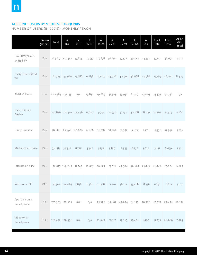## TABLE 2B – USERS BY MEDIUM FOR Q1 2015

NUMBER OF USERS (IN 000'S) - MONTHLY REACH

|                              | Demo<br>(Users) | Total                                                                                | A<br>$18+$             | К<br>$2 - 11$                                                                        | т<br>$12 - 17$ | $\mathsf A$<br>$18 - 24$ | A<br>$25 - 34$ | A<br>$35 - 49$ | A<br>$50 - 64$                    | A<br>$65+$    | <b>Black</b><br>Total | Hisp.<br>Total                                          | Asian<br>Am.<br>Total |
|------------------------------|-----------------|--------------------------------------------------------------------------------------|------------------------|--------------------------------------------------------------------------------------|----------------|--------------------------|----------------|----------------|-----------------------------------|---------------|-----------------------|---------------------------------------------------------|-----------------------|
| Live+DVR/Time-<br>shifted TV | $P_{2+}$        |                                                                                      | 284,817 223,447 37,833 |                                                                                      | 23,537         |                          | 25,878 36,890  | 57,577         | 59,570                            | 43,532        | 37,712                | 48,695                                                  | 15,310                |
| DVR/Time-shifted<br>TV       | $P_{2+}$        |                                                                                      |                        | 182,725 143,980 23,886 14,858 15,023 24,928 40,374 38,668 24,988 23,765 26,042 8,409 |                |                          |                |                |                                   |               |                       |                                                         |                       |
| AM/FM Radio                  | $P12+$          | 260,963 237,135                                                                      |                        | n/a                                                                                  |                | 23,830 29,869 41,503     |                | 59,951         | 61,387                            | 45,003        | 33,379                | 42,358                                                  | n/a                   |
| DVD/Blu-Ray<br>Device        | $P2+$           |                                                                                      |                        | 140,826 106,510 22,496 11,820                                                        |                | 9,731                    | 16,970         | 31,132         | 30,568                            | 18,109 16,262 |                       | 22,563                                                  | 6,760                 |
| Game Console                 | $P2+$           |                                                                                      |                        | 98,664 63,496 20,880 14,288 12,818 18,202 20,782                                     |                |                          |                |                | 9,419                             | 2,276         | 12,352                | 17,947                                                  | 5,763                 |
| Multimedia Device            | $P_{2+}$        | 53,236                                                                               | 39,917                 | 8,772                                                                                | 4,547          | 5,239                    | 9,867          | 12,943         | 8,257                             | 3,612         | 5,231                 | 8,059                                                   | 5,912                 |
| Internet on a PC             | $P_{2+}$        |                                                                                      |                        | 192,875 169,249 12,743                                                               |                | 10,883 18,625            |                |                | 29,711 49,504 46,665              | 24,743        | 24,748                | 25,024                                                  | 6,829                 |
| Video on a PC                | $P_{2+}$        | $138,502$ 124,065 7,856 6,582 12,918 21,201 36,121 35,468 18,356 17,851 16,822 5,107 |                        |                                                                                      |                |                          |                |                |                                   |               |                       |                                                         |                       |
| App/Web on a<br>Smartphone   | $P18+$          |                                                                                      | 170,303 170,303        | n/a                                                                                  | n/a            |                          |                |                |                                   |               |                       | 25,392 33,481 49,694 51,155 10,582 20,717 29,492 10,192 |                       |
| Video on a<br>Smartphone     | $P18+$          |                                                                                      | 128,432 128,432        | n/a                                                                                  | n/a            | 21,949                   |                |                | 27,817 39,165 33,402 6,100 17,255 |               |                       | 24,688                                                  | 7,824                 |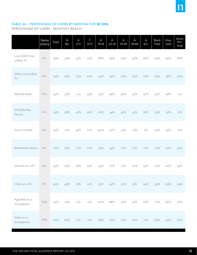

## TABLE 3A – PERCENTAGE OF USERS BY MEDIUM FOR Q1 2016

PERCENTAGE OF USERS - MONTHLY REACH

|                              | Demo<br>(Users) | Total | $\sf A$<br>$18+$ | $\sf K$<br>$2 - 11$ | T<br>$12 - 17$ | $\sf A$<br>$18 - 24$ | $\sf A$<br>$25 - 34$ | A<br>$35 - 49$ | A<br>$50 - 64$ | $\mathsf A$<br>$65+$ | Black<br>Total | Hisp.<br>Total | Asian<br>Am.<br>Total |
|------------------------------|-----------------|-------|------------------|---------------------|----------------|----------------------|----------------------|----------------|----------------|----------------------|----------------|----------------|-----------------------|
| Live+DVR/Time-<br>shifted TV | $P2+$           | 93%   | 93%              | 93%                 | 93%            | 86%                  | 89%                  | 94%            | 96%            | 96%                  | 95%            | 96%            | 86%                   |
| DVR/Time-shifted<br>TV       | $P2+$           | 65%   | 65%              | 63%                 | 62%            | 52%                  | 64%                  | 70%            | 69%            | 63%                  | 65%            | 58%            | 52%                   |
| AM/FM Radio                  | $P12+$          | 97%   | 97%              | n/a                 | 95%            | 95%                  | 98%                  | 98%            | 99%            | 97%                  | 97%            | 98%            | n/a                   |
| DVD/Blu-Ray<br>Device        | $P2+$           | 39%   | 38%              | 47%                 | 39%            | 26%                  | 34%                  | 45%            | 43%            | 36%                  | 35%            | 37%            | 31%                   |
| Game Console                 | $P2+$           | 30%   | 25%              | 47%                 | 51%            | 40%                  | 41%                  | 34%            | 14%            | 5%                   | 29%            | 34%            | 27%                   |
| Multimedia Device            | $P2+$           | 26%   | 25%              | 31%                 | 27%            | 25%                  | 34%                  | 31%            | 21%            | 13%                  | 19%            | 27%            | 42%                   |
| Internet on a PC             | $P2+$           | 59%   | 67%              | 28%                 | 39%            | 54%                  | 70%                  | 77%            | 70%            | 55%                  | 57%            | 46%            | 34%                   |
| Video on a PC                | $P2+$           | 40%   | 46%              | 15%                 | 21%            | 35%                  | 47%                  | 52%            | 51%            | 39%                  | 39%            | 29%            | 24%                   |
| App/Web on a<br>Smartphone   | $P18+$          | 79%   | 79%              | n/a                 | n/a            | 90%                  | 88%                  | 92%            | 93%            | 27%                  | 77%            | 89%            | 76%                   |
| Video on a<br>Smartphone     | $P18+$          | 62%   | 62%              | n/a                 | n/a            | 78%                  | 72%                  | 76%            | 67%            | 17%                  | 65%            | 74%            | 57%                   |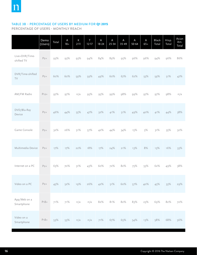# TABLE 3B – PERCENTAGE OF USERS BY MEDIUM FOR Q1 2015

PERCENTAGE OF USERS - MONTHLY REACH

|                              | Demo<br>(Users) | Total | A<br>$18 +$ | К<br>$2 - 11$ | T<br>$12 - 17$ | $\mathsf A$<br>$18 - 24$ | Α<br>$25 - 34$ | A<br>$35 - 49$ | A<br>$50 - 64$ | A<br>$65+$ | Black<br>Total | Hisp.<br>Total | Asian<br>Am.<br>Total |
|------------------------------|-----------------|-------|-------------|---------------|----------------|--------------------------|----------------|----------------|----------------|------------|----------------|----------------|-----------------------|
| Live+DVR/Time-<br>shifted TV | $P2+$           | 93%   | 93%         | 93%           | 94%            | 84%                      | 89%            | 95%            | 96%            | 96%        | 94%            | 96%            | 86%                   |
| DVR/Time-shifted<br>TV       | $P2+$           | 60%   | 60%         | 59%           | 59%            | 49%                      | 60%            | 67%            | 62%            | 55%        | 59%            | 51%            | 47%                   |
| AM/FM Radio                  | $P12+$          | 97%   | 97%         | n/a           | 95%            | 95%                      | 99%            | 98%            | 99%            | 97%        | 97%            | 98%            | n/a                   |
| DVD/Blu-Ray<br>Device        | $P2+$           | 46%   | 44%         | 55%           | 47%            | 32%                      | 41%            | 51%            | 49%            | 40%        | 41%            | 44%            | 38%                   |
| Game Console                 | $P2+$           | 32%   | 26%         | 51%           | 57%            | 42%                      | 44%            | 34%            | 15%            | 5%         | 31%            | 35%            | 32%                   |
| Multimedia Device            | $P2+$           | 17%   | 17%         | 22%           | 18%            | 17%                      | 24%            | 21%            | 13%            | 8%         | 13%            | 16%            | 33%                   |
| Internet on a PC             | $P_{2+}$        | 63%   | 70%         | 31%           | 43%            | 60%                      | 72%            | 82%            | 75%            | 55%        | 62%            | 49%            | 38%                   |
| Video on a PC                | $P_{2+}$        | 45%   | 52%         | 19%           | 26%            | 42%                      | 51%            | 60%            | 57%            | 40%        | 45%            | 33%            | 29%                   |
| App/Web on a<br>Smartphone   | $P18+$          | 71%   | 71%         | n/a           | n/a            | 82%                      | 81%            | 82%            | 83%            | 23%        | 69%            | 82%            | 72%                   |
| Video on a<br>Smartphone     | $P18 +$         | 53%   | 53%         | n/a           | n/a            | 71%                      | 67%            | 65%            | 54%            | 13%        | 58%            | 68%            | 56%                   |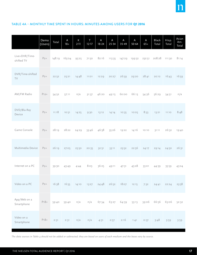

#### TABLE 4A – MONTHLY TIME SPENT IN HOURS: MINUTES AMONG USERS FOR Q1 2016

|                              | Demo<br>(Users) | Total  | A<br>$18 +$ | $\sf K$<br>$2 - 11$ | T<br>$12 - 17$ | A<br>$18 - 24$ | $\sf A$<br>$25 - 34$ | A<br>$35 - 49$ | A<br>$50 - 64$ | $\mathsf A$<br>$65+$ | Black<br>Total | Hisp.<br>Total | Asian<br>Am.<br>Total |
|------------------------------|-----------------|--------|-------------|---------------------|----------------|----------------|----------------------|----------------|----------------|----------------------|----------------|----------------|-----------------------|
| Live+DVR/Time-<br>shifted TV | $P2+$           | 148:19 | 165:04      | 95:25               | 71:50          | 82:16          | 113:35               | 147:29         | 199:52         | 232:51               | 208:28         | 111:30         | 81:14                 |
| DVR/Time-shifted<br>TV       | $P2+$           | 22:52  | 25:21       | 14:48               | 11:01          | 12:29          | 20:27                | 26:59          | 29:20          | 28:41                | 20:12          | 16:43          | 16:59                 |
| AM/FM Radio                  | $P12+$          | 54:52  | 57:11       | n/a                 | 31:37          | 46:20          | 49:15                | 60:00          | 66:13          | 54:36                | 56:29          | 54:51          | n/a                   |
| DVD/Blu-Ray<br>Device        | $P2+$           | 11:18  | 10:51       | 14:25               | 9:30           | 13:12          | 14:14                | 10:35          | 10:05          | 8:33                 | 13:21          | 11:10          | 8:48                  |
| Game Console                 | $P2+$           | 28:19  | 28:22       | 24:29               | 33:46          | 46:58          | 35:26                | 19:22          | 14:16          | 10:10                | 31:11          | 26:32          | 19:40                 |
| Multimedia Device            | $P_{2+}$        | 26:19  | 27:05       | 25:50               | 20:35          | 32:51          | 33:11                | 23:52          | 22:56          | 24:17                | 29:14          | 24:50          | 26:31                 |
| Internet on a PC             | $P_{2+}$        | 39:30  | 43:49       | 4:44                | 8:03           | 36:25          | 49:11                | 47:31          | 45:28          | 33:01                | 44:39          | 35:59          | 43:24                 |
| Video on a PC                | $P_{2+}$        | 16:38  | 16:55       | 14:10               | 13:27          | 24:48          | 26:52                | 18:07          | 12:15          | 7:32                 | 24:41          | 22:24          | 23:58                 |
| App/Web on a<br>Smartphone   | $P18 +$         | 59:40  | 59:40       | n/a                 | n/a            | 67:34          | 63:27                | 64:39          | 53:13          | 39:06                | 66:56          | 65:06          | 52:32                 |
| Video on a<br>Smartphone     | $P18 +$         | 2:31   | 2:31        | n/a                 | n/a            | 4:31           | 2:57                 | 2:16           | 1:41           | O:37                 | 3:48           | 3:59           | 3:59                  |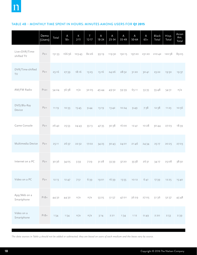#### TABLE 4B – MONTHLY TIME SPENT IN HOURS: MINUTES AMONG USERS FOR Q1 2015

|                              | Demo<br>(Users) | Total  | A<br>$18+$ | $\sf K$<br>$2 - 11$ | T<br>$12 - 17$ | Α<br>$18 - 24$ | $\sf A$<br>$25 - 34$ | Α<br>$35 - 49$ | A<br>$50 - 64$ | A<br>$65+$ | Black<br>Total | Hisp.<br>Total | Asian<br>Am.<br>Total |
|------------------------------|-----------------|--------|------------|---------------------|----------------|----------------|----------------------|----------------|----------------|------------|----------------|----------------|-----------------------|
| Live+DVR/Time-<br>shifted TV | $P_{2+}$        | 151:33 | 166:56     | 103:43              | 82:26          | 93:19          | 119:30               | 150:15         | 197:20         | 231:20     | 210:42         | 120:58         | 89:05                 |
| DVR/Time-shifted<br>TV       | $P2+$           | 25:16  | 27:39      | 18:16               | 13:23          | 15:16          | 24:26                | 28:52          | 31:20          | 30:41      | 23:22          | 19:50          | 19:37                 |
| AM/FM Radio                  | $P12+$          | 54:24  | 56:38      | n/a                 | 32:05          | 45:44          | 49:52                | 59:39          | 65:11          | 53:35      | 55:48          | 54:31          | n/a                   |
| DVD/Blu-Ray<br>Device        | $P2+$           | 11:19  | 10:33      | 15:45               | 9:44           | 13:19          | 13:42                | 10:24          | 9:49           | 7:38       | 12:38          | 11:23          | 10:56                 |
| Game Console                 | $P_{2+}$        | 26:42  | 25:53      | 24:43               | 33:13          | 47:35          | 30:38                | 16:00          | 12:41          | 10:28      | 30:44          | 27:03          | 18:39                 |
| Multimedia Device            | $P_{2+}$        | 25:11  | 26:37      | 22:52               | 17:02          | 34:23          | 30:43                | 24:01          | 21:46          | 24:34      | 25:17          | 20:25          | 27:03                 |
| Internet on a PC             | $P2+$           | 30:36  | 34:05      | 3:59                | 7:29           | 31:28          | 33:39                | 37:20          | 35:58          | 26:31      | 34:17          | 25:08          | 38:50                 |
| Video on a PC                | $P2+$           | 12:13  | 12:47      | 7:51                |                | 6:39 19:01     | 16:39                | 13:55          | 10:12          | 6:41       | 17:39          | 12:25          | 15:40                 |
| App/Web on a<br>Smartphone   | $P18 +$         | 44:32  | 44:32      | n/a                 | n/a            | 53:25          | 51:57                | 47:01          | 36:29          | 27:05      | 51:36          | 52:37          | 45:48                 |
| Video on a<br>Smartphone     | $P18 +$         | 1:54   | 1:54       | n/a                 | n/a            | 3:14           | 2:21                 | 1:34           | 1:12           | 0:49       | 2:20           | 2:53           | 2:39                  |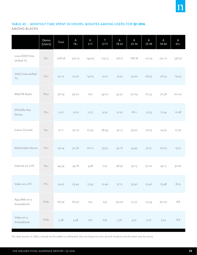# TABLE 4C – MONTHLY TIME SPENT IN HOURS: MINUTES AMONG USERS FOR Q1 2016

AMONG BLACKS

|                              | Demo<br>(Users) | Total  | A<br>$18 +$ | K<br>$2 - 11$ | $\top$<br>$12 - 17$ | $\mathsf A$<br>$18 - 24$ | $\mathsf A$<br>$25 - 34$ | A<br>$35 - 49$ | $\mathsf A$<br>$50 - 64$ | $\mathsf A$<br>$65+$        |
|------------------------------|-----------------|--------|-------------|---------------|---------------------|--------------------------|--------------------------|----------------|--------------------------|-----------------------------|
| Live+DVR/Time-<br>shifted TV | $P2+$           | 208:28 | 232:19      | 144:05        | 123:13              | 136:21                   | 168:18                   | 217:35         | 291:12                   | 336:57                      |
| DVR/Time-shifted<br>TV       | $P2+$           | 20:12  | 22:27       | 14:09         | 12:01               | 14:23                    | 19:00                    | 26:32          | 26:33                    | 19:03                       |
| AM/FM Radio                  | $P12+$          | 56:29  | 59:20       | n/a           | 34:02               | 45:32                    | 50:24                    | 62:33          | 70:58                    | 60:02                       |
| DVD/Blu-Ray<br>Device        | $P2+$           | 13:21  | 13:22       | 15:17         | 9:50                | 12:23                    | 18:11                    | 12:53          | 12:54                    | 10:28                       |
| Game Console                 | $P2+$           | 31:11  | 30:19       | 27:59         | 38:49               | 47:13                    | 39:07                    | 20:05          | 14:30                    | 10:30                       |
| Multimedia Device            | $P2+$           | 29:14  | 30:36       | 26:10         | 23:50               | 39:16                    | 34:45                    | 27:31          | 27:00                    | 19:51                       |
| Internet on a PC             | $P2+$           | 44:39  | 49:18       | 4:58          | 7:57                | 48:36                    | 59:15                    | 52:20          | 45:15                    | 30:00                       |
| Video on a PC                | $P2+$           | 24:41  | 25:49       | 13:43         | 12:40               | 37:15                    | 33:40                    | 25:42          | 19:48                    | 8:23                        |
| App/Web on a<br>Smartphone   | $P18 +$         | 66:56  | 66:56       | n/a           | n/a                 | 69:00                    | 77:57                    | 73:34          | 60:20                    | $\ensuremath{\mathsf{IFR}}$ |
| Video on a<br>Smartphone     | $P18 +$         | 3:48   | 3:48        | n/a           | n/a                 | 5:56                     | 4:31                     | 3:07           | 3:23                     | $\ensuremath{\mathsf{IFR}}$ |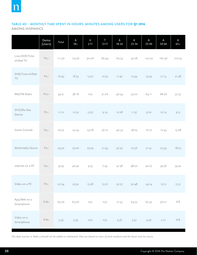# TABLE 4D – MONTHLY TIME SPENT IN HOURS: MINUTES AMONG USERS FOR Q1 2016

AMONG HISPANICS

|                                    | Demo<br>(Users) | Total  | $\mathsf A$<br>$18+$ | K<br>$2 - 11$ | T<br>$12 - 17$ | $\mathsf A$<br>$18 - 24$ | $\mathsf A$<br>$25 - 34$ | A<br>$35 - 49$ | $\mathsf A$<br>$50 - 64$ | $\mathsf A$<br>$65+$        |
|------------------------------------|-----------------|--------|----------------------|---------------|----------------|--------------------------|--------------------------|----------------|--------------------------|-----------------------------|
| Live+DVR/Time-<br>shifted TV       | $P2+$           | 111:30 | 123:36               | 90:06         | 66:49          | 69:33                    | 97:28                    | 122:29         | 160:36                   | 210:55                      |
| DVR/Time-shifted<br>$\top\!\!\vee$ | $P2+$           | 16:43  | 18:33                | 13:07         | 10:32          | 11:42                    | 17:44                    | 19:59          | 21:13                    | 21:38                       |
| AM/FM Radio                        | $P12+$          | 54:51  | 58:18                | n/a           | 31:06          | 46:54                    | 53:00                    | 64:11          | 68:26                    | 57:57                       |
| DVD/Blu-Ray<br>Device              | $P2+$           | 11:10  | 10:32                | 13:57         | 9:19           | 12:28                    | 11:37                    | 9:20           | 10:19                    | 9:51                        |
| Game Console                       | $P_{2+}$        | 26:32  | 25:24                | 23:28         | 36:10          | 40:33                    | 28:23                    | 16:10          | 12:43                    | 13:08                       |
| Multimedia Device                  | $P2+$           | 24:50  | 25:06                | 25:29         | 21:45          | 30:50                    | 27:36                    | 21:41          | 23:34                    | 18:03                       |
| Internet on a PC                   | $P2+$           | 35:59  | 42:42                | 4:55          | 7:45           | 41:58                    | 48:02                    | 42:27          | 39:56                    | 34:32                       |
| Video on a PC                      | $P_{2+}$        | 22:24  | 23:50                | 15:28         | 15:07          | 30:27                    | 30:48                    | 24:14          | 13:12                    | 15:31                       |
| App/Web on a<br>Smartphone         | $P18+$          | 65:06  | 65:06                | n/a           | n/a            | 71:55                    | 64:57                    | 67:47          | 56:01                    | <b>IFR</b>                  |
| Video on a<br>Smartphone           | $P18+$          | 3:59   | 3:59                 | n/a           | n/a            | 5:36                     | 3:57                     | 3:46           | 2:21                     | $\ensuremath{\mathsf{IFR}}$ |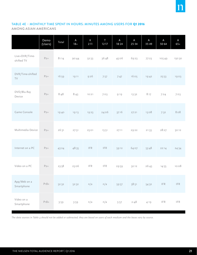#### TABLE 4E – MONTHLY TIME SPENT IN HOURS: MINUTES AMONG USERS FOR Q1 2016

AMONG ASIAN AMERICANS

|                                    | Demo<br>(Users) | Total | $\mathsf A$<br>$18 +$ | К<br>$2 - 11$               | T<br>$12 - 17$              | $\mathsf A$<br>$18 - 24$ | $\mathsf A$<br>$25 - 34$ | A<br>$35 - 49$ | A<br>$50 - 64$              | A<br>$65+$                  |
|------------------------------------|-----------------|-------|-----------------------|-----------------------------|-----------------------------|--------------------------|--------------------------|----------------|-----------------------------|-----------------------------|
| Live+DVR/Time-<br>shifted TV       | $P2+$           | 81:14 | 90:44                 | 52:33                       | 36:48                       | 45:06                    | 69:23                    | 77:23          | 105:49                      | 150:30                      |
| DVR/Time-shifted<br>$\top\!\!\vee$ | $P2+$           | 16:59 | 19:11                 | 9:26                        | 7:57                        | 7:47                     | 16:05                    | 19:42          | 25:53                       | 19:03                       |
| DVD/Blu-Ray<br>Device              | $P2+$           | 8:48  | 8:43                  | 10:21                       | 7:03                        | 9:19                     | 13:32                    | 8:17           | 7:24                        | 7:03                        |
| Game Console                       | $P2+$           | 19:40 | 19:13                 | 19:23                       | 24:06                       | 37:16                    | 27:21                    | 13:08          | 7:32                        | 8:08                        |
| Multimedia Device                  | $P2+$           | 26:31 | 27:51                 | 25:01                       | 15:51                       | 27:11                    | 29:22                    | 21:33          | 28:27                       | 50:12                       |
| Internet on a PC                   | $P2+$           | 43:24 | 48:35                 | $\ensuremath{\mathsf{IFR}}$ | $\ensuremath{\mathsf{IFR}}$ | 59:12                    | 64:07                    | 53:48          | 22:14                       | 24:34                       |
| Video on a PC                      | $P2+$           | 23:58 | 25:06                 | $\ensuremath{\mathsf{IFR}}$ | $\ensuremath{\mathsf{IFR}}$ | 29:59                    | 32:12                    | 26:43          | 14:55                       | 10:08                       |
| App/Web on a<br>Smartphone         | $P18 +$         | 52:32 | 52:32                 | n/a                         | n/a                         | 59:57                    | 58:51                    | 54:32          | $\ensuremath{\mathsf{IFR}}$ | $\ensuremath{\mathsf{IFR}}$ |
| Video on a<br>Smartphone           | $P18 +$         | 3:59  | 3:59                  | n/a                         | n/a                         | 5:57                     | 2:48                     | 4:19           | $\ensuremath{\mathsf{IFR}}$ | $\ensuremath{\mathsf{IFR}}$ |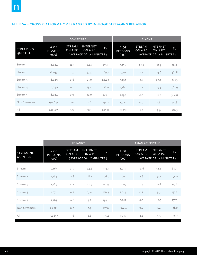#### TABLE 5A – CROSS PLATFORM HOMES RANKED BY IN-HOME STREAMING BEHAVIOR

|                       |                                 | <b>COMPOSITE</b>         |                                                       |           | <b>BLACKS</b>                   |                          |                                                |       |  |
|-----------------------|---------------------------------|--------------------------|-------------------------------------------------------|-----------|---------------------------------|--------------------------|------------------------------------------------|-------|--|
| STREAMING<br>QUINTILE | # OF<br><b>PERSONS</b><br>(000) | <b>STREAM</b><br>ON A PC | <b>INTERNET</b><br>ON A PC<br>(AVERAGE DAILY MINUTES) | <b>TV</b> | # OF<br><b>PERSONS</b><br>(000) | <b>STREAM</b><br>ON A PC | INTERNET<br>ON A PC<br>(AVERAGE DAILY MINUTES) | TV    |  |
| Stream 1              | 18,044                          | 22.1                     | 64.5                                                  | 255.7     | 1,776                           | 22.3                     | 57.4                                           | 314.2 |  |
| Stream 2              | 18,033                          | 2.3                      | 33.5                                                  | 269.7     | 1,797                           | 2.7                      | 23.6                                           | 361.8 |  |
| Stream 3              | 18,049                          | 0.6                      | 21.0                                                  | 264.3     | 1,797                           | O.6                      | 20.2                                           | 365.3 |  |
| Stream 4              | 18,040                          | O.1                      | 15.4                                                  | 278.0     | 1,780                           | O.1                      | 15.3                                           | 362.9 |  |
| Stream $5$            | 18,044                          | O.O                      | 12.0                                                  | 273.1     | 1,790                           | O.O                      | 11.2                                           | 364.8 |  |
| Non Streamers         | 150,644                         | O.O                      | 1.6                                                   | 231.0     | 17,172                          | O.O                      | 1.6                                            | 311.8 |  |
| All                   | 240,855                         | 1.9                      | 12.1                                                  | 245.0     | 26,112                          | 1.8                      | 9.9                                            | 326.3 |  |

|                       |                                 | <b>HISPANICS</b>         |                                                       |       |                                 | <b>ASIAN AMERICANS</b>   |                                                |       |
|-----------------------|---------------------------------|--------------------------|-------------------------------------------------------|-------|---------------------------------|--------------------------|------------------------------------------------|-------|
| STREAMING<br>QUINTILE | # OF<br><b>PERSONS</b><br>(000) | <b>STREAM</b><br>ON A PC | <b>INTERNET</b><br>ON A PC<br>(AVERAGE DAILY MINUTES) | TV    | # OF<br><b>PERSONS</b><br>(000) | <b>STREAM</b><br>ON A PC | INTERNET<br>ON A PC<br>(AVERAGE DAILY MINUTES) | TV    |
| Stream 1              | 2,167                           | 21.7                     | 44.6                                                  | 199.1 | 1,019                           | 32.6                     | 52.4                                           | 89.3  |
| Stream 2              | 2,164                           | 2.8                      | 18.2                                                  | 206.0 | 1,009                           | 2.8                      | 32.1                                           | 154.0 |
| Stream 3              | 2,169                           | O.7                      | 12.9                                                  | 212.9 | 1,009                           | O.7                      | 17.8                                           | 117.8 |
| Stream 4              | 2,171                           | O.2                      | 13.0                                                  | 216.3 | 1,014                           | O.2                      | 9.3                                            | 151.8 |
| Stream 5              | 2,165                           | $\circ$ .<br>$\circ$     | 9.6                                                   | 193.1 | 1,011                           | O.O                      | 18.5                                           | 157.1 |
| Non Streamers         | 23,821                          | O.O                      | O.9                                                   | 187.8 | 10,455                          | O.O                      | 1.4                                            | 138.0 |
| All                   | 34,657                          | 1.6                      | 6.8                                                   | 193.4 | 15,517                          | 2.4                      | 9.5                                            | 136.7 |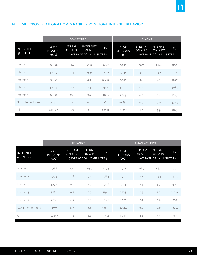#### TABLE 5B – CROSS PLATFORM HOMES RANKED BY IN-HOME INTERNET BEHAVIOR

|                             |                                 | <b>COMPOSITE</b>         |                                                       |       | <b>BLACKS</b>                   |                          |                                                |       |  |
|-----------------------------|---------------------------------|--------------------------|-------------------------------------------------------|-------|---------------------------------|--------------------------|------------------------------------------------|-------|--|
| <b>INTERNET</b><br>QUINTILE | # OF<br><b>PERSONS</b><br>(000) | <b>STREAM</b><br>ON A PC | <b>INTERNET</b><br>ON A PC<br>(AVERAGE DAILY MINUTES) | TV    | # OF<br><b>PERSONS</b><br>(000) | <b>STREAM</b><br>ON A PC | INTERNET<br>ON A PC<br>(AVERAGE DAILY MINUTES) | TV    |  |
| Internet <sub>1</sub>       | 30,102                          | 11.2                     | 73.2                                                  | 303.7 | 3,053                           | 10.7                     | 64.4                                           | 375.0 |  |
| Internet 2                  | 30,107                          | 2.4                      | 15.9                                                  | 271.0 | 3,045                           | 3.0                      | 13.2                                           | 311.1 |  |
| Internet 3                  | 30,103                          | 1.1                      | 4.8                                                   | 254.2 | 3,047                           | 1.1                      | 4.5                                            | 398.7 |  |
| Internet 4                  | 30,105                          | O.2                      | 1.3                                                   | 231.4 | 3,049                           | O.2                      | 1.3                                            | 346.5 |  |
| Internet 5                  | 30,106                          | O.1                      | O.2                                                   | 218.5 | 3,049                           | O.O                      | O.2                                            | 283.5 |  |
| Non Internet Users          | 90,331                          | O.O                      | O.O                                                   | 226.6 | 10,869                          | O.O                      | O.O                                            | 302.3 |  |
| All                         | 240,855                         | 1.9                      | 12.1                                                  | 245.0 | 26,112                          | 1.8                      | 9.9                                            | 326.3 |  |

|                      |                                 | <b>HISPANICS</b>         |                                                       |       | <b>ASIAN AMERICANS</b>          |                   |                                                       |       |
|----------------------|---------------------------------|--------------------------|-------------------------------------------------------|-------|---------------------------------|-------------------|-------------------------------------------------------|-------|
| INTERNET<br>QUINTILE | # OF<br><b>PERSONS</b><br>(000) | <b>STREAM</b><br>ON A PC | <b>INTERNET</b><br>ON A PC<br>(AVERAGE DAILY MINUTES) | TV    | # OF<br><b>PERSONS</b><br>(000) | STREAM<br>ON A PC | <b>INTERNET</b><br>ON A PC<br>(AVERAGE DAILY MINUTES) | TV    |
| Internet 1           | 3,788                           | 10.7                     | 49.0                                                  | 225.3 | 1,717                           | 16.5              | 66.2                                                  | 153.9 |
| Internet 2           | 3,773                           | 2.8                      | 9.4                                                   | 198.3 | 1,711                           | 2.7               | 13.4                                                  | 144.3 |
| Internet 3           | 3,777                           | 0.8                      | 2.7                                                   | 194.8 | 1,714                           | 1.5               | 3.9                                                   | 150.1 |
| Internet 4           | 3,782                           | O.2                      | O.7                                                   | 179.1 | 1,714                           | O.5               | 1.0                                                   | 120.9 |
| Internet 5           | 3,780                           | O.1                      | O.1                                                   | 180.2 | 1,717                           | O.1               | O.2                                                   | 123.0 |
| Non Internet Users   | 15,757                          | O.O                      | O.O                                                   | 190.6 | 6,944                           | O.O               | O.O                                                   | 134.4 |
| All                  | 34,657                          | 1.6                      | 6.8                                                   | 193.4 | 15,517                          | 2.4               | 9.5                                                   | 136.7 |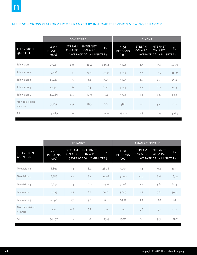#### TABLE 5C – CROSS PLATFORM HOMES RANKED BY IN-HOME TELEVISION VIEWING BEHAVIOR

|                                  |                                 | <b>COMPOSITE</b>         |                                                       |       | <b>BLACKS</b>                   |                          |                                                |       |
|----------------------------------|---------------------------------|--------------------------|-------------------------------------------------------|-------|---------------------------------|--------------------------|------------------------------------------------|-------|
| <b>TELEVISION</b><br>QUINTILE    | # OF<br><b>PERSONS</b><br>(000) | <b>STREAM</b><br>ON A PC | <b>INTERNET</b><br>ON A PC<br>(AVERAGE DAILY MINUTES) | TV    | # OF<br><b>PERSONS</b><br>(000) | <b>STREAM</b><br>ON A PC | INTERNET<br>ON A PC<br>(AVERAGE DAILY MINUTES) | TV    |
| Television 1                     | 47,461                          | 2.0                      | 18.4                                                  | 646.4 | 5,143                           | 1.7                      | 13.5                                           | 805.9 |
| Television 2                     | 47,476                          | 1.5                      | 13.4                                                  | 314.9 | 5,145                           | 2.2                      | 12.9                                           | 432.9 |
| Television 3                     | 47,468                          | 1.3                      | 9.6                                                   | 177.9 | 5,147                           | 1.5                      | 8.7                                            | 251.2 |
| Television 4                     | 47,471                          | 1.6                      | 8.3                                                   | 81.0  | 5,145                           | 2.1                      | 8.0                                            | 121.5 |
| Television 5                     | 47,469                          | 2.8                      | 10.0                                                  | 15.4  | 5,145                           | 1.4                      | 6.6                                            | 29.9  |
| Non Television<br><b>Viewers</b> | 3,509                           | 4.9                      | 18.3                                                  | O.O   | 388                             | 1.0                      | 5.4                                            | O.O   |
| All                              | 240,855                         | 1.9                      | 12.1                                                  | 245.0 | 26,112                          | 1.8                      | 9.9                                            | 326.3 |

|                                  |                                 | <b>HISPANICS</b>  |                                                       |           | <b>ASIAN AMERICANS</b>          |                          |                                                |           |
|----------------------------------|---------------------------------|-------------------|-------------------------------------------------------|-----------|---------------------------------|--------------------------|------------------------------------------------|-----------|
| <b>TELEVISION</b><br>QUINTILE    | # OF<br><b>PERSONS</b><br>(000) | STREAM<br>ON A PC | <b>INTERNET</b><br>ON A PC<br>(AVERAGE DAILY MINUTES) | <b>TV</b> | # OF<br><b>PERSONS</b><br>(000) | <b>STREAM</b><br>ON A PC | INTERNET<br>ON A PC<br>(AVERAGE DAILY MINUTES) | <b>TV</b> |
| Television 1                     | 6,894                           | 1.3               | 8.4                                                   | 485.6     | 3,003                           | 1.4                      | 10.6                                           | 421.1     |
| Television 2                     | 6,886                           | 2.1               | 8.5                                                   | 247.6     | 3,000                           | O.9                      | 8.6                                            | 167.9     |
| Television 3                     | 6,891                           | 1.4               | 6.0                                                   | 145.6     | 3,006                           | 1.1                      | 5.6                                            | 80.3      |
| Television 4                     | 6,895                           | 1.5               | 6.1                                                   | 70.0      | 3,007                           | 2.2                      | 7.8                                            | 30.4      |
| Television 5                     | 6,890                           | 1.7               | 5.0                                                   | 17.1      | 2,998                           | 5.9                      | 13.3                                           | 4.2       |
| Non Television<br><b>Viewers</b> | 202                             | 0.8               | 6.8                                                   | O.O       | 502                             | 5.6                      | 19.3                                           | O.O       |
| All                              | 34,657                          | 1.6               | 6.8                                                   | 193.4     | 15,517                          | 2.4                      | 9.5                                            | 136.7     |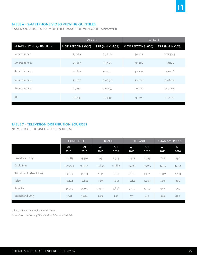#### TABLE 6 – SMARTPHONE VIDEO VIEWING QUINTILES

BASED ON ADULTS 18+ MONTHLY USAGE OF VIDEO ON APPS/WEB

|                             | Q1 2015              |                | Q1 2016            |                |
|-----------------------------|----------------------|----------------|--------------------|----------------|
| <b>SMARTPHONE QUINTILES</b> | $#$ OF PERSONS (000) | TPP (HH:MM:SS) | # OF PERSONS (000) | TPP (HH:MM:SS) |
| Smartphone 1                | 25,679               | 7:37:46        | 30,189             | 10:24:44       |
| Smartphone 2                | 25,667               | 1:17:03        | 30,202             | 1:31:45        |
| Smartphone 3                | 25,697               | 0:25:11        | 30,204             | 0:29:16        |
| Smartphone 4                | 25,677               | 0:07:30        | 30,206             | 0:08:24        |
| Smartphone 5                | 25,712               | 0:00:57        | 30,210             | 0:01:05        |
| All                         | 128,432              | 1:53:39        | 151,011            | 2:31:00        |

#### TABLE 7 – TELEVISION DISTRIBUTION SOURCES

NUMBER OF HOUSEHOLDS (IN 000'S)

|                        | <b>COMPOSITE</b>       |                        | <b>BLACK</b>           |                        | <b>HISPANIC</b> |                        | <b>ASIAN AMERICAN</b>  |            |
|------------------------|------------------------|------------------------|------------------------|------------------------|-----------------|------------------------|------------------------|------------|
|                        | Q <sub>1</sub><br>2015 | Q <sub>1</sub><br>2016 | Q <sub>1</sub><br>2015 | Q <sub>1</sub><br>2016 | Q1<br>2015      | Q <sub>1</sub><br>2016 | Q <sub>1</sub><br>2015 | Q1<br>2016 |
| Broadcast Only         | 12,485                 | 13,301                 | 1,991                  | 2,314                  | 2,425           | 2,535                  | 825                    | 798        |
| Cable Plus             | 100,774                | 99,225                 | 12,854                 | 12,684                 | 12,048          | 12,165                 | 4,235                  | 4,234      |
| Wired Cable (No Telco) | 53,053                 | 52,273                 | 7,154                  | 7,054                  | 5,623           | 5,512                  | 2,497                  | 2, 243     |
| Telco                  | 13,444                 | 12,832                 | 1,855                  | 1,851                  | 1,484           | 1,439                  | 840                    | 900        |
| Satellite              | 34,755                 | 34,507                 | 3,901                  | 3,838                  | 5,015           | 5,259                  | 942                    | 1,137      |
| Broadband Only         | 3,141                  | 3,874                  | 249                    | 235                    | 337             | 410                    | 368                    | 400        |

*Table 7 is based on weighted intab counts.*

*Cable Plus is inclusive of Wired Cable, Telco, and Satellite*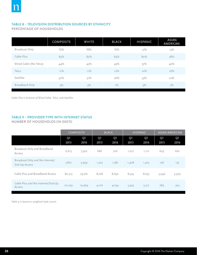#### TABLE 8 – TELEVISION DISTRIBUTION SOURCES BY ETHNICITY

PERCENTAGE OF HOUSEHOLDS

|                        | <b>COMPOSITE</b> | WHITE | <b>BLACK</b> | <b>HISPANIC</b> | ASIAN<br>AMERICAN |
|------------------------|------------------|-------|--------------|-----------------|-------------------|
| Broadcast Only         | 12%              | 10%   | 15%          | 17%             | 15%               |
| Cable Plus             | 85%              | 87%   | 83%          | 80%             | 78%               |
| Wired Cable (No Telco) | 44%              | 45%   | 45%          | 37%             | 42%               |
| Telco                  | 11%              | 11%   | 12%          | 10%             | 16%               |
| Satellite              | $30\%$           | 31%   | 26%          | 33%             | 22%               |
| Broadband Only         | 3%               | 3%    | $1\%$        | 3%              | 7%                |

*Cable Plus is inclusive of Wired Cable, Telco, and Satellite*

## TABLE 9 – PROVIDER TYPE WITH INTERNET STATUS

#### NUMBER OF HOUSEHOLDS (IN 000'S)

|                                                   | <b>COMPOSITE</b>       |                        | <b>BLACK</b>           |                        | <b>HISPANIC</b>        |                        | <b>ASIAN AMERICAN</b>  |                        |
|---------------------------------------------------|------------------------|------------------------|------------------------|------------------------|------------------------|------------------------|------------------------|------------------------|
|                                                   | Q <sub>1</sub><br>2015 | Q <sub>1</sub><br>2016 | Q <sub>1</sub><br>2015 | Q <sub>1</sub><br>2016 | Q <sub>1</sub><br>2015 | Q <sub>1</sub><br>2016 | Q <sub>1</sub><br>2015 | Q <sub>1</sub><br>2016 |
| Broadcast Only and Broadband<br>Access            | 6,613                  | 7,302                  | 686                    | 726                    | 1,017                  | 1,112                  | 629                    | 662                    |
| Broadcast Only and No Internet/<br>Dial-Up Access | 5,872                  | 5,999                  | 1,305                  | 1,587                  | 1,408                  | 1,423                  | 196                    | 135                    |
| Cable Plus and Broadband Access                   | 80,515                 | 79,261                 | 8,728                  | 8,650                  | 8,574                  | 8,653                  | 3,946                  | 3,929                  |
| Cable Plus and No Internet/Dial-Up<br>Access      | 20,259                 | 19,964                 | 4,126                  | 4,034                  | 3,474                  | 3,512                  | 289                    | 305                    |

*Table 9 is based on weighted intab counts.*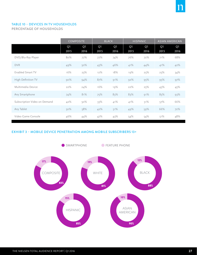#### TABLE 10 – DEVICES IN TV HOUSEHOLDS

PERCENTAGE OF HOUSEHOLDS

|                              | <b>COMPOSITE</b>       |                        | <b>BLACK</b> |            | <b>HISPANIC</b> |                        | <b>ASIAN AMERICAN</b>  |            |
|------------------------------|------------------------|------------------------|--------------|------------|-----------------|------------------------|------------------------|------------|
|                              | Q <sub>1</sub><br>2015 | Q <sub>1</sub><br>2016 | Q1<br>2015   | Q1<br>2016 | Q1<br>2015      | Q <sub>1</sub><br>2016 | Q <sub>1</sub><br>2015 | Q1<br>2016 |
| DVD/Blu-Ray Player           | 80%                    | 77%                    | 77%          | 74%        | 76%             | 72%                    | 71%                    | 68%        |
| <b>DVR</b>                   | 49%                    | 50%                    | 43%          | 46%        | 41%             | 44%                    | 41%                    | 42%        |
| Enabled Smart TV             | 16%                    | 23%                    | 12%          | 18%        | 19%             | 25%                    | 25%                    | 34%        |
| High Definition TV           | 90%                    | 94%                    | 87%          | 91%        | 92%             | 95%                    | 95%                    | 97%        |
| Multimedia Device            | 22%                    | 24%                    | 16%          | 19%        | 22%             | 25%                    | 43%                    | 45%        |
| Any Smartphone               | 74%                    | 81%                    | 75%          | 83%        | 83%             | 91%                    | 85%                    | 93%        |
| Subscription Video on Demand | 42%                    | 50%                    | 33%          | 41%        | 41%             | 51%                    | 57%                    | 66%        |
| Any Tablet                   | 50%                    | 58%                    | 42%          | 51%        | 49%             | 59%                    | 66%                    | 72%        |
| Video Game Console           | 46%                    | 44%                    | 47%          | 43%        | 54%             | 54%                    | 51%                    | 48%        |

#### EXHIBIT 3 – MOBILE DEVICE PENETRATION AMONG MOBILE SUBSCRIBERS 13+



 $\overline{\mathsf{n}}$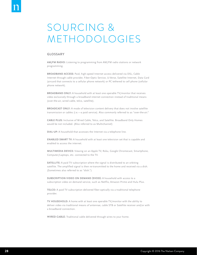# SOURCING & METHODOLOGIES

#### **GLOSSARY**

**AM/FM RADIO:** Listening to programming from AM/FM radio stations or network programming.

**BROADBAND ACCESS:** Paid, high-speed Internet access delivered via DSL, Cable Internet through cable provider, Fiber-Optic Service, U-Verse, Satellite Internet, Data Card (aircard that connects to a cellular phone network) or PC tethered to cell phone (cellular phone network).

**BROADBAND ONLY:** A household with at least one operable TV/monitor that receives video exclusively through a broadband internet connection instead of traditional means (over-the-air, wired cable, telco, satellite).

**BROADCAST ONLY:** A mode of television content delivery that does not involve satellite transmission or cables (i.e.—a paid service). Also commonly referred to as "over-the-air."

**CABLE PLUS:** Inclusive of Wired Cable, Telco, and Satellite. Broadband Only Homes would be not included. (Also referred to as Multichannel)

**DIAL-UP:** A household that accesses the Internet via a telephone line.

**ENABLED SMART TV:** A household with at least one television set that is capable and enabled to access the internet.

**MULTIMEDIA DEVICE:** Viewing on an Apple TV, Roku, Google Chromecast, Smartphone, Computer/Laptops, etc. connected to the TV.

**SATELLITE:** A paid TV subscription where the signal is distributed to an orbiting satellite. The amplified signal is then re-transmitted to the home and received via a dish. (Sometimes also referred to as "dish.")

**SUBSCRIPTION VIDEO ON DEMAND (SVOD):** A household with access to a subscription video on demand service, such as Netflix, Amazon Prime and Hulu Plus.

**TELCO:** A paid TV subscription delivered fiber-optically via a traditional telephone provider.

**TV HOUSEHOLD:** A home with at least one operable TV/monitor with the ability to deliver video via traditional means of antennae, cable STB or Satellite receiver and/or with a broadband connection.

**WIRED CABLE:** Traditional cable delivered through wires to your home.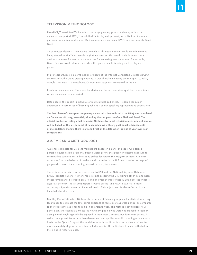#### **TELEVISION METHODOLOGY**

Live+DVR/Time-shifted TV includes Live usage plus any playback viewing within the measurement period. DVR/Time-shifted TV is playback primarily on a DVR but includes playback from video on demand, DVD recorders, server based DVR's and services like Start Over.

TV-connected devices (DVD, Game Console, Multimedia Device) would include content being viewed on the TV screen through these devices. This would include when these devices are in use for any purpose, not just for accessing media content. For example, Game Console would also include when the game console is being used to play video games.

Multimedia Devices is a combination of usage of the Internet Connected Devices viewing source and Audio-Video viewing sources. It would include viewing on an Apple TV, Roku, Google Chromecast, Smartphone, Computer/Laptop, etc. connected to the TV.

Reach for television and TV-connected devices includes those viewing at least one minute within the measurement period.

Data used in this report is inclusive of multicultural audiences. Hispanic consumer audiences are comprised of both English and Spanish speaking representative populations.

**The last phase of a two-year sample expansion initiative (referred to as NPX) was completed on December 28, 2015, essentially doubling the sample size of our National Panel. The off icial production ratings that comprise Nielsen's National television measurement service will be based on the larger panel of households. As with any past panel enhancements or methodology change, there is a trend break in the data when looking at year-over-year comparisons.** 

#### **AM/FM RADIO METHODOLOGY**

Audience estimates for 48 large markets are based on a panel of people who carry a portable device called a Personal People Meter (PPM) that passively detects exposure to content that contains inaudible codes embedded within the program content. Audience estimates from the balance of markets and countries in the U.S. are based on surveys of people who record their listening in a written diary for a week.

The estimates in this report are based on RADAR and the National Regional Database. RADAR reports national network radio ratings covering the U.S. using both PPM and Diary measurement and it is based on a rolling one-year average of nearly 400,000 respondents aged 12+ per year. The Q1 2016 report is based on the June RADAR studies to more accurately align with the other included media. This adjustment is also reflected in the included historical data.

Monthly Radio Estimates: Nielsen's Measurement Science group used statistical modeling techniques to estimate the total cume audience to radio in a four week period, as compared to the total cume audience to radio in an average week. The methodology utilized PPM panel data, and essentially measured how many people who were not exposed to radio in a single week might typically be exposed to radio over a consecutive four week period. A radio cume growth factor was then determined and applied to radio listening on a national basis. In the Q1 2016 report, the model for monthly radio estimates has been refined to more accurately align with the other included media. This adjustment is also reflected in the included historical data.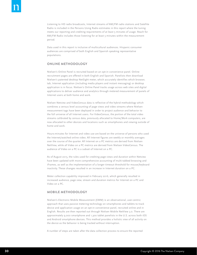Listening to HD radio broadcasts, Internet streams of AM/FM radio stations and Satellite Radio is included in the Persons Using Radio estimates in this report where the tuning meets our reporting and crediting requirements of at least 5 minutes of usage. Reach for AM/FM Radio includes those listening for at least 5 minutes within the measurement period.

Data used in this report is inclusive of multicultural audiences. Hispanic consumer audiences are comprised of both English and Spanish speaking representative populations.

#### **ONLINE METHODOLOGY**

Nielsen's Online Panel is recruited based on an opt-in convenience panel. Online recruitment pages are offered in both English and Spanish. Panelists then download Nielsen's patented desktop NetSight meter, which accurately identifies which browser, tab, Internet application (including media players and instant messaging) or desktop application is in focus. Nielsen's Online Panel tracks usage across web sites and digital applications to deliver audience and analytics through metered measurement of panels of Internet users at both home and work.

Nielsen Netview and VideoCensus data is reflective of the hybrid methodology which combines a census level accounting of page views and video streams where Nielsen measurement tags have been deployed in order to project audience and behavior to the full universe of all Internet users. For VideoCensus, the portion of the total video streams calibrated by census data, previously allocated to Home/Work computers, are now allocated to other devices and locations such as smartphones and viewing outside of home and work.

Hours:minutes for Internet and video use are based on the universe of persons who used the Internet/watched online video. All Internet figures are weekly or monthly averages over the course of the quarter. All Internet on a PC metrics are derived from Nielsen NetView, while all Video on a PC metrics are derived from Nielsen VideoCensus. The audience of Video on a PC is a subset of Internet on a PC.

As of August 2015, the rules used for crediting page views and duration within Netview have been updated with more comprehensive accounting of multi-tabbed browsing and iFrames, as well as the implementation of a longer timeout threshold for mouse/keyboard inactivity. These changes resulted in an increase in Internet duration on a PC.

Meter collection capability improved in February 2016, which generally resulted in increased audience, page view, stream and duration metrics for Internet on a PC and Video on a PC.

#### **MOBILE METHODOLOGY**

Nielsen's Electronic Mobile Measurement (EMM) is an observational, user-centric approach that uses passive metering technology on smartphones and tablets to track device and application usage on an opt-in convenience panel, recruited online and in English. Results are then reported out through Nielsen Mobile NetView 3.0. There are approximately 9,000 smartphone and 1,300 tablet panelists in the U.S. across both iOS and Android smartphone devices. This method provides a holistic view of all activity on the device as the behavior is being tracked without interruption.

A number of steps are taken after the data collection process to ensure the reported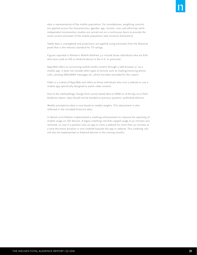data is representative of the mobile population. For smartphones, weighting controls are applied across five characteristics (gender, age, income, race, and ethnicity) while independent enumeration studies are carried out on a continuous basis to provide the most current estimates of the mobile population (aka Universe Estimation).

Tablet data is unweighted and projections are applied using estimates from the National panel that is the industry standard for TV ratings.

Figures reported in Nielsen's Mobile NetView 3.0 include those individuals who are P18+ who have used an iOS or Android device in the U.S. In particular:

App/Web refers to consuming mobile media content through a web browser or via a mobile app. It does not include other types of activity such as making/receiving phone calls, sending SMS/MMS messages etc, which has been excluded for this report.

Video is a subset of App/Web and refers to those individuals who visit a website or use a mobile app specifically designed to watch video content.

Due to the methodology change from survey based data to EMM as of the Q4 2013 Total Audience report, data should not be trended to previous quarters' published editions.

Weekly smartphone data is now based on weekly weights. This adjustment is also reflected in the included historical data.

In March 2016 Nielsen implemented a crediting enhancement to improve the reporting of mobile usage on iOS devices. A legacy crediting rule that capped usage at 30 minutes was removed, so now if a panelist uses an app or visits a website for more than 30 minutes at a time the entire duration is now credited towards the app or website. This crediting rule will also be implemented on Android devices in the coming months.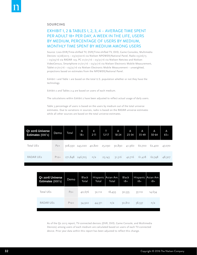#### **SOURCING**

# EXHIBIT 1, 2 & TABLES 1, 2, 3, 4 – AVERAGE TIME SPENT PER ADULT 18+ PER DAY, A WEEK IN THE LIFE, USERS BY MEDIUM, PERCENTAGE OF USERS BY MEDIUM, MONTHLY TIME SPENT BY MEDIUM AMONG USERS

Source: Live+DVR/Time-shifted TV, DVR/Time-shifted TV, DVD, Game Consoles, Multimedia Devices 12/28/2015 – 03/27/2016 via Nielsen NPOWER/National Panel, Radio 03/26/15 – 03/23/16 via RADAR 129, PC 01/01/16 – 03/31/16 via Nielsen Netview and Nielsen VideoCensus, Smartphone 01/01/16 – 03/31/16 via Nielsen Electronic Mobile Measurement, Tablet 01/01/16 – 03/31/16 via Nielsen Electronic Mobile Measurement – unweighted, projections based on estimates from the NPOWER/National Panel.

Exhibit 1 and Table 1 are based on the total U.S. population whether or not they have the technology.

Exhibit 2 and Tables 2-4 are based on users of each medium.

The calculations within Exhibit 2 have been adjusted to reflect actual usage of daily users.

Table 3 percentage of users is based on the users by medium out of the total universe estimates. Due to variations in sources, radio is based on the RADAR universe estimates while all other sources are based on the total universe estimates.

| Q1 2016 Universe<br>Estimates (000's) | Demo   | <b>Total</b> | A<br>$18+$                    | K<br>$2 - 11$ | T<br>$12 - 17$ | A<br>$18 - 24$ | A<br>$25 - 34$ | A<br>$35 - 49$ | A<br>$50 - 64$ | A<br>$65+$ |
|---------------------------------------|--------|--------------|-------------------------------|---------------|----------------|----------------|----------------|----------------|----------------|------------|
| Total UEs                             | $P2+$  |              | 308,930 243,020 40,820 25,090 |               |                | 30,890         | 41,960         | 60,700         | 62,400         | 47,070     |
| <b>RADAR UES</b>                      | $P12+$ |              | 271,848 246,705               | n/a           | 25,143         | 31,516         | 42,716         | 61,418         | 62,748         | 48,307     |

| Q1 2016 Universe<br>Estimates (000's) | <b>Demo</b> | Black<br>Total | Total  | Hispanic Asian Am.<br>Total | <b>Black</b><br>$18 +$ | $18+$  | Hispanic Asian Am.<br>$18+$ |
|---------------------------------------|-------------|----------------|--------|-----------------------------|------------------------|--------|-----------------------------|
| Total UEs                             | $P2+$       | 40,676         | 52,112 | 18,493                      | 30,535                 | 37,110 | 14,634                      |
| RADAR UES                             | $P12+$      | 34,922         | 44,371 | n/a                         | 30,812                 | 38,537 | n/a                         |

As of the Q2 2015 report, TV-connected devices (DVR, DVD, Game Console, and Multimedia Devices) among users of each medium are calculated based on users of each TV-connected device. Prior year data within this report has been adjusted to reflect this change.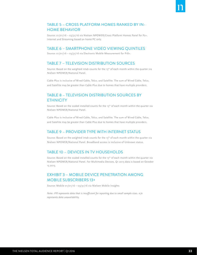# TABLE 5 – CROSS PLATFORM HOMES RANKED BY IN-HOME BEHAVIOR

Source: 01/01/16 – 03/31/16 via Nielsen NPOWER/Cross Platform Homes Panel for P2+. Internet and Streaming based on home PC only.

## TABLE 6 – SMARTPHONE VIDEO VIEWING QUINTILES

Source: 01/01/16 – 03/31/16 via Electronic Mobile Measurement for P18+.

# TABLE 7 – TELEVISION DISTRIBUTION SOURCES

Source: Based on the weighted intab counts for the 15<sup>th</sup> of each month within the quarter via Nielsen NPOWER/National Panel.

Cable Plus is inclusive of Wired Cable, Telco, and Satellite. The sum of Wired Cable, Telco, and Satellite may be greater than Cable Plus due to homes that have multiple providers.

# TABLE 8 – TELEVISION DISTRIBUTION SOURCES BY **ETHNICITY**

Source: Based on the scaled installed counts for the 15<sup>th</sup> of each month within the quarter via Nielsen NPOWER/National Panel.

Cable Plus is inclusive of Wired Cable, Telco, and Satellite. The sum of Wired Cable, Telco, and Satellite may be greater than Cable Plus due to homes that have multiple providers.

## TABLE 9 – PROVIDER TYPE WITH INTERNET STATUS

Source: Based on the weighted intab counts for the 15<sup>th</sup> of each month within the quarter via Nielsen NPOWER/National Panel. Broadband access is inclusive of Unknown status.

## TABLE 10 – DEVICES IN TV HOUSEHOLDS

Source: Based on the scaled installed counts for the 15<sup>th</sup> of each month within the quarter via Nielsen NPOWER/National Panel. For Multimedia Devices, Q1 2015 data is based on October 15 2015.

# EXHIBIT 3 – MOBILE DEVICE PENETRATION AMONG MOBILE SUBSCRIBERS 13+

Source: Mobile 01/01/16 – 03/31/16 via Nielsen Mobile Insights

*Note: IFR represents data that is insufficient for reporting due to small sample sizes. n/a represents data unavailability.*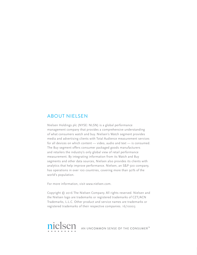# ABOUT NIELSEN

Nielsen Holdings plc (NYSE: NLSN) is a global performance management company that provides a comprehensive understanding of what consumers watch and buy. Nielsen's Watch segment provides media and advertising clients with Total Audience measurement services for all devices on which content — video, audio and text — is consumed. The Buy segment offers consumer packaged goods manufacturers and retailers the industry's only global view of retail performance measurement. By integrating information from its Watch and Buy segments and other data sources, Nielsen also provides its clients with analytics that help improve performance. Nielsen, an S&P 500 company, has operations in over 100 countries, covering more than 90% of the world's population.

For more information, visit www.nielsen.com.

Copyright © 2016 The Nielsen Company. All rights reserved. Nielsen and the Nielsen logo are trademarks or registered trademarks of CZT/ACN Trademarks, L.L.C. Other product and service names are trademarks or registered trademarks of their respective companies. 16/10003